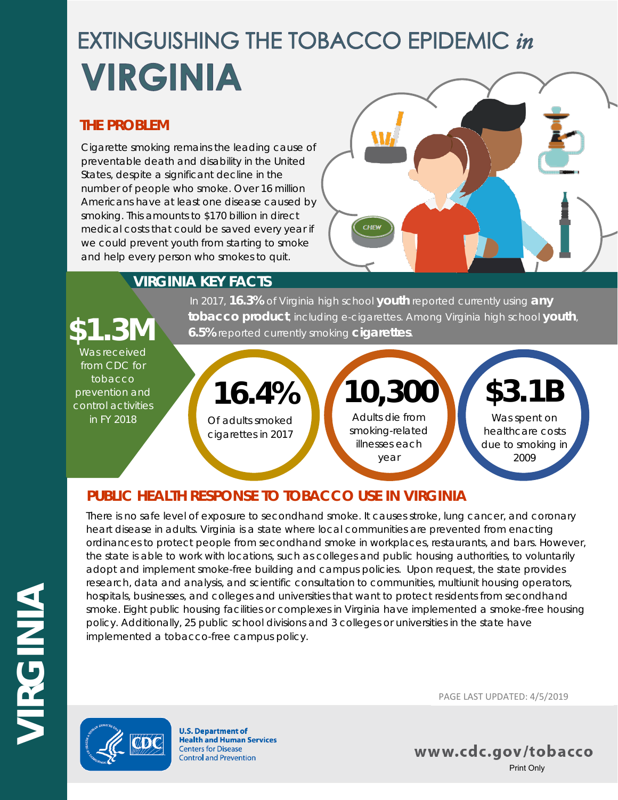## **EXTINGUISHING THE TOBACCO EPIDEMIC in VIRGINIA**

### **THE PROBLEM**

Cigarette smoking remains the leading cause of preventable death and disability in the United States, despite a significant decline in the number of people who smoke. Over 16 million Americans have at least one disease caused by smoking. This amounts to \$170 billion in direct medical costs that could be saved every year if we could prevent youth from starting to smoke and help every person who smokes to quit.



### **VIRGINIA KEY FACTS**

In 2017, **16.3%** of Virginia high school **youth** reported currently using **any tobacco product**, including e-cigarettes. Among Virginia high school **youth**, **\$1.3M 6.5%** reported currently smoking **cigarettes**.

### Was received from CDC for tobacco

prevention and control activities in FY 2018

### Of adults smoked cigarettes in 2017 **16.4%**

Adults die from smoking-related illnesses each year **10,300**

# **\$3.1B**

Was spent on healthcare costs due to smoking in 2009

### **PUBLIC HEALTH RESPONSE TO TOBACCO USE IN VIRGINIA**

There is no safe level of exposure to secondhand smoke. It causes stroke, lung cancer, and coronary heart disease in adults. Virginia is a state where local communities are prevented from enacting ordinances to protect people from secondhand smoke in workplaces, restaurants, and bars. However, the state is able to work with locations, such as colleges and public housing authorities, to voluntarily adopt and implement smoke-free building and campus policies. Upon request, the state provides research, data and analysis, and scientific consultation to communities, multiunit housing operators, hospitals, businesses, and colleges and universities that want to protect residents from secondhand smoke. Eight public housing facilities or complexes in Virginia have implemented a smoke-free housing policy. Additionally, 25 public school divisions and 3 colleges or universities in the state have implemented a tobacco-free campus policy.



**U.S. Department of Health and Human Services Centers for Disease Control and Prevention** 

PAGE LAST UPDATED: 4/5/2019